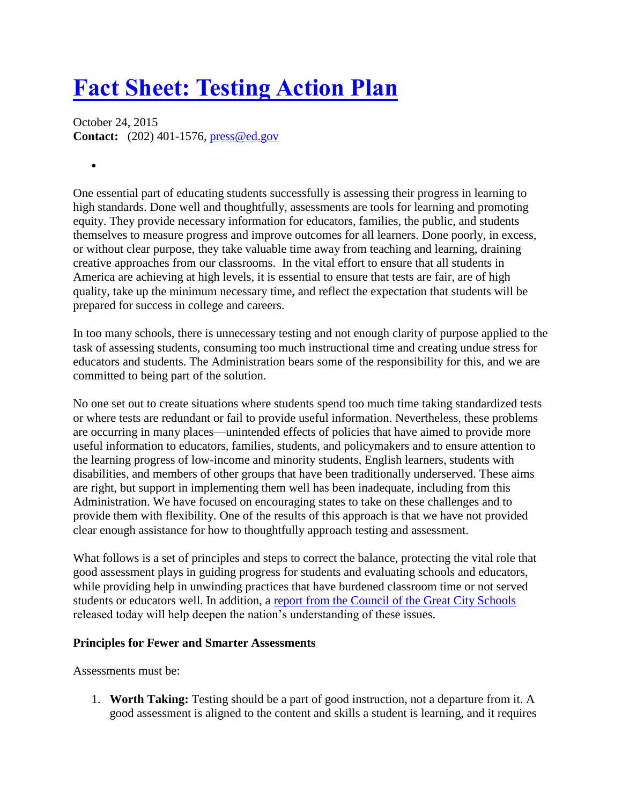# **[Fact Sheet: Testing Action Plan](https://www.ed.gov/news/press-releases/fact-sheet-testing-action-plan)**

October 24, 2015 **Contact:** (202) 401-1576, [press@ed.gov](mailto:%20press@ed.gov)

 $\bullet$ 

One essential part of educating students successfully is assessing their progress in learning to high standards. Done well and thoughtfully, assessments are tools for learning and promoting equity. They provide necessary information for educators, families, the public, and students themselves to measure progress and improve outcomes for all learners. Done poorly, in excess, or without clear purpose, they take valuable time away from teaching and learning, draining creative approaches from our classrooms. In the vital effort to ensure that all students in America are achieving at high levels, it is essential to ensure that tests are fair, are of high quality, take up the minimum necessary time, and reflect the expectation that students will be prepared for success in college and careers.

In too many schools, there is unnecessary testing and not enough clarity of purpose applied to the task of assessing students, consuming too much instructional time and creating undue stress for educators and students. The Administration bears some of the responsibility for this, and we are committed to being part of the solution.

No one set out to create situations where students spend too much time taking standardized tests or where tests are redundant or fail to provide useful information. Nevertheless, these problems are occurring in many places—unintended effects of policies that have aimed to provide more useful information to educators, families, students, and policymakers and to ensure attention to the learning progress of low-income and minority students, English learners, students with disabilities, and members of other groups that have been traditionally underserved. These aims are right, but support in implementing them well has been inadequate, including from this Administration. We have focused on encouraging states to take on these challenges and to provide them with flexibility. One of the results of this approach is that we have not provided clear enough assistance for how to thoughtfully approach testing and assessment.

What follows is a set of principles and steps to correct the balance, protecting the vital role that good assessment plays in guiding progress for students and evaluating schools and educators, while providing help in unwinding practices that have burdened classroom time or not served students or educators well. In addition, a [report from the Council of the Great City Schools](http://www.cgcs.org/cms/lib/DC00001581/Centricity/Domain/87/Testing%20Report.pdf) released today will help deepen the nation's understanding of these issues.

## **Principles for Fewer and Smarter Assessments**

Assessments must be:

1. **Worth Taking:** Testing should be a part of good instruction, not a departure from it. A good assessment is aligned to the content and skills a student is learning, and it requires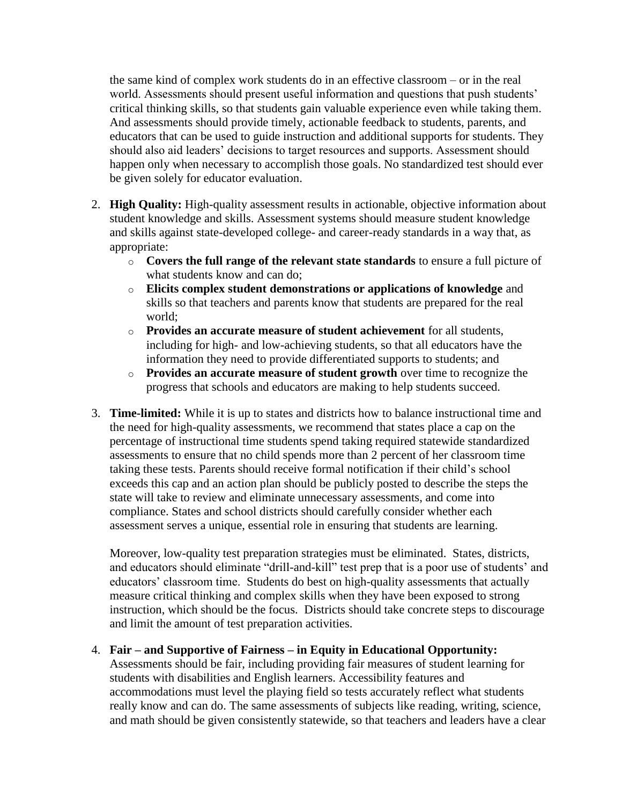the same kind of complex work students do in an effective classroom – or in the real world. Assessments should present useful information and questions that push students' critical thinking skills, so that students gain valuable experience even while taking them. And assessments should provide timely, actionable feedback to students, parents, and educators that can be used to guide instruction and additional supports for students. They should also aid leaders' decisions to target resources and supports. Assessment should happen only when necessary to accomplish those goals. No standardized test should ever be given solely for educator evaluation.

- 2. **High Quality:** High-quality assessment results in actionable, objective information about student knowledge and skills. Assessment systems should measure student knowledge and skills against state-developed college- and career-ready standards in a way that, as appropriate:
	- o **Covers the full range of the relevant state standards** to ensure a full picture of what students know and can do;
	- o **Elicits complex student demonstrations or applications of knowledge** and skills so that teachers and parents know that students are prepared for the real world;
	- o **Provides an accurate measure of student achievement** for all students, including for high- and low-achieving students, so that all educators have the information they need to provide differentiated supports to students; and
	- o **Provides an accurate measure of student growth** over time to recognize the progress that schools and educators are making to help students succeed.
- 3. **Time-limited:** While it is up to states and districts how to balance instructional time and the need for high-quality assessments, we recommend that states place a cap on the percentage of instructional time students spend taking required statewide standardized assessments to ensure that no child spends more than 2 percent of her classroom time taking these tests. Parents should receive formal notification if their child's school exceeds this cap and an action plan should be publicly posted to describe the steps the state will take to review and eliminate unnecessary assessments, and come into compliance. States and school districts should carefully consider whether each assessment serves a unique, essential role in ensuring that students are learning.

Moreover, low-quality test preparation strategies must be eliminated. States, districts, and educators should eliminate "drill-and-kill" test prep that is a poor use of students' and educators' classroom time. Students do best on high-quality assessments that actually measure critical thinking and complex skills when they have been exposed to strong instruction, which should be the focus. Districts should take concrete steps to discourage and limit the amount of test preparation activities.

## 4. **Fair – and Supportive of Fairness – in Equity in Educational Opportunity:**

Assessments should be fair, including providing fair measures of student learning for students with disabilities and English learners. Accessibility features and accommodations must level the playing field so tests accurately reflect what students really know and can do. The same assessments of subjects like reading, writing, science, and math should be given consistently statewide, so that teachers and leaders have a clear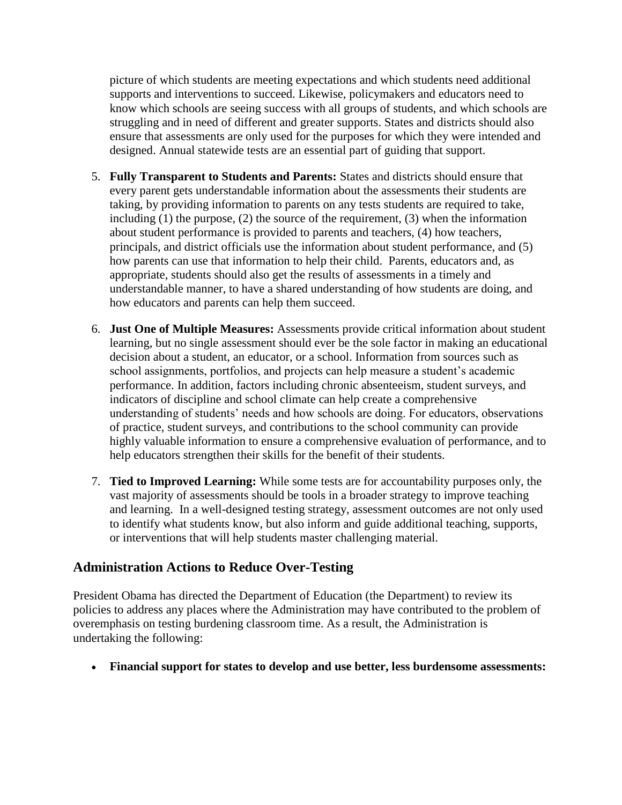picture of which students are meeting expectations and which students need additional supports and interventions to succeed. Likewise, policymakers and educators need to know which schools are seeing success with all groups of students, and which schools are struggling and in need of different and greater supports. States and districts should also ensure that assessments are only used for the purposes for which they were intended and designed. Annual statewide tests are an essential part of guiding that support.

- 5. **Fully Transparent to Students and Parents:** States and districts should ensure that every parent gets understandable information about the assessments their students are taking, by providing information to parents on any tests students are required to take, including (1) the purpose, (2) the source of the requirement, (3) when the information about student performance is provided to parents and teachers, (4) how teachers, principals, and district officials use the information about student performance, and (5) how parents can use that information to help their child. Parents, educators and, as appropriate, students should also get the results of assessments in a timely and understandable manner, to have a shared understanding of how students are doing, and how educators and parents can help them succeed.
- 6. **Just One of Multiple Measures:** Assessments provide critical information about student learning, but no single assessment should ever be the sole factor in making an educational decision about a student, an educator, or a school. Information from sources such as school assignments, portfolios, and projects can help measure a student's academic performance. In addition, factors including chronic absenteeism, student surveys, and indicators of discipline and school climate can help create a comprehensive understanding of students' needs and how schools are doing. For educators, observations of practice, student surveys, and contributions to the school community can provide highly valuable information to ensure a comprehensive evaluation of performance, and to help educators strengthen their skills for the benefit of their students.
- 7. **Tied to Improved Learning:** While some tests are for accountability purposes only, the vast majority of assessments should be tools in a broader strategy to improve teaching and learning. In a well-designed testing strategy, assessment outcomes are not only used to identify what students know, but also inform and guide additional teaching, supports, or interventions that will help students master challenging material.

# **Administration Actions to Reduce Over-Testing**

President Obama has directed the Department of Education (the Department) to review its policies to address any places where the Administration may have contributed to the problem of overemphasis on testing burdening classroom time. As a result, the Administration is undertaking the following:

**Financial support for states to develop and use better, less burdensome assessments:**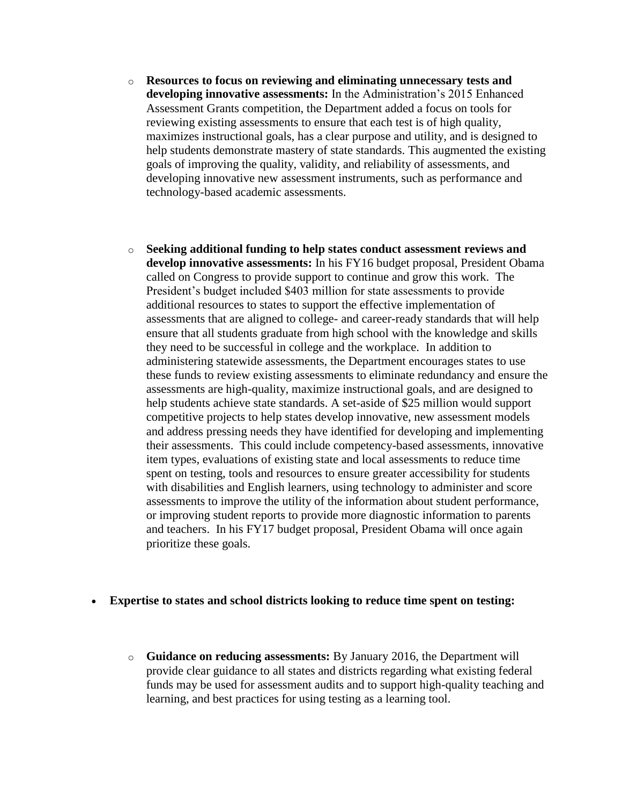- o **Resources to focus on reviewing and eliminating unnecessary tests and developing innovative assessments:** In the Administration's 2015 Enhanced Assessment Grants competition, the Department added a focus on tools for reviewing existing assessments to ensure that each test is of high quality, maximizes instructional goals, has a clear purpose and utility, and is designed to help students demonstrate mastery of state standards. This augmented the existing goals of improving the quality, validity, and reliability of assessments, and developing innovative new assessment instruments, such as performance and technology-based academic assessments.
- o **Seeking additional funding to help states conduct assessment reviews and develop innovative assessments:** In his FY16 budget proposal, President Obama called on Congress to provide support to continue and grow this work. The President's budget included \$403 million for state assessments to provide additional resources to states to support the effective implementation of assessments that are aligned to college- and career-ready standards that will help ensure that all students graduate from high school with the knowledge and skills they need to be successful in college and the workplace. In addition to administering statewide assessments, the Department encourages states to use these funds to review existing assessments to eliminate redundancy and ensure the assessments are high-quality, maximize instructional goals, and are designed to help students achieve state standards. A set-aside of \$25 million would support competitive projects to help states develop innovative, new assessment models and address pressing needs they have identified for developing and implementing their assessments. This could include competency-based assessments, innovative item types, evaluations of existing state and local assessments to reduce time spent on testing, tools and resources to ensure greater accessibility for students with disabilities and English learners, using technology to administer and score assessments to improve the utility of the information about student performance, or improving student reports to provide more diagnostic information to parents and teachers. In his FY17 budget proposal, President Obama will once again prioritize these goals.

#### **Expertise to states and school districts looking to reduce time spent on testing:**

o **Guidance on reducing assessments:** By January 2016, the Department will provide clear guidance to all states and districts regarding what existing federal funds may be used for assessment audits and to support high-quality teaching and learning, and best practices for using testing as a learning tool.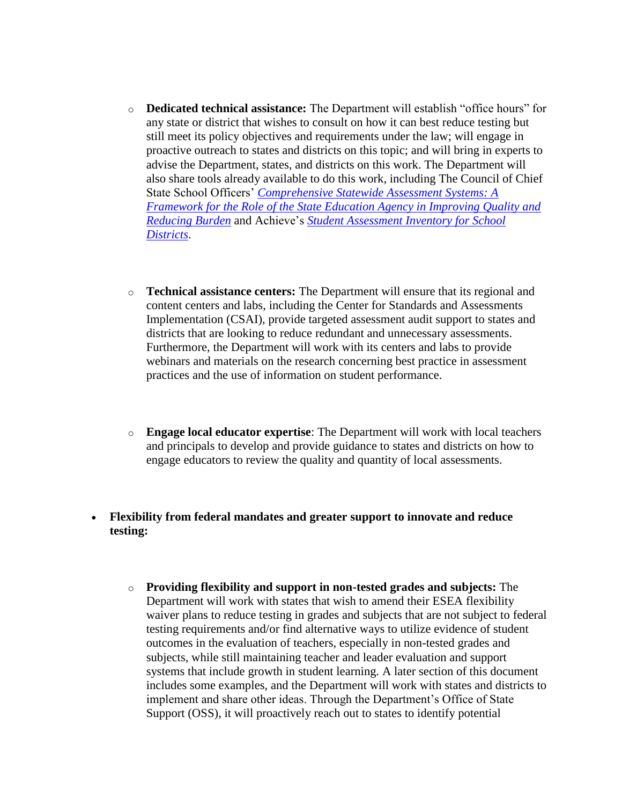- o **Dedicated technical assistance:** The Department will establish "office hours" for any state or district that wishes to consult on how it can best reduce testing but still meet its policy objectives and requirements under the law; will engage in proactive outreach to states and districts on this topic; and will bring in experts to advise the Department, states, and districts on this work. The Department will also share tools already available to do this work, including The Council of Chief State School Officers' *[Comprehensive Statewide Assessment Systems: A](http://ccsso.org/Resources/Publications/Comprehensive_Statewide_Assessment_Systems_A_Framework_for_the_Role_of_the_State_Education_Agency_in_Improving_Quality_and_Reducing_Burden.html)  [Framework for the Role of the State Education Agency in Improving Quality and](http://ccsso.org/Resources/Publications/Comprehensive_Statewide_Assessment_Systems_A_Framework_for_the_Role_of_the_State_Education_Agency_in_Improving_Quality_and_Reducing_Burden.html)  [Reducing Burden](http://ccsso.org/Resources/Publications/Comprehensive_Statewide_Assessment_Systems_A_Framework_for_the_Role_of_the_State_Education_Agency_in_Improving_Quality_and_Reducing_Burden.html)* and Achieve's *[Student Assessment Inventory for School](http://www.achieve.org/assessmentinventory)  [Districts](http://www.achieve.org/assessmentinventory)*.
- o **Technical assistance centers:** The Department will ensure that its regional and content centers and labs, including the Center for Standards and Assessments Implementation (CSAI), provide targeted assessment audit support to states and districts that are looking to reduce redundant and unnecessary assessments. Furthermore, the Department will work with its centers and labs to provide webinars and materials on the research concerning best practice in assessment practices and the use of information on student performance.
- o **Engage local educator expertise**: The Department will work with local teachers and principals to develop and provide guidance to states and districts on how to engage educators to review the quality and quantity of local assessments.
- **Flexibility from federal mandates and greater support to innovate and reduce testing:**
	- o **Providing flexibility and support in non-tested grades and subjects:** The Department will work with states that wish to amend their ESEA flexibility waiver plans to reduce testing in grades and subjects that are not subject to federal testing requirements and/or find alternative ways to utilize evidence of student outcomes in the evaluation of teachers, especially in non-tested grades and subjects, while still maintaining teacher and leader evaluation and support systems that include growth in student learning. A later section of this document includes some examples, and the Department will work with states and districts to implement and share other ideas. Through the Department's Office of State Support (OSS), it will proactively reach out to states to identify potential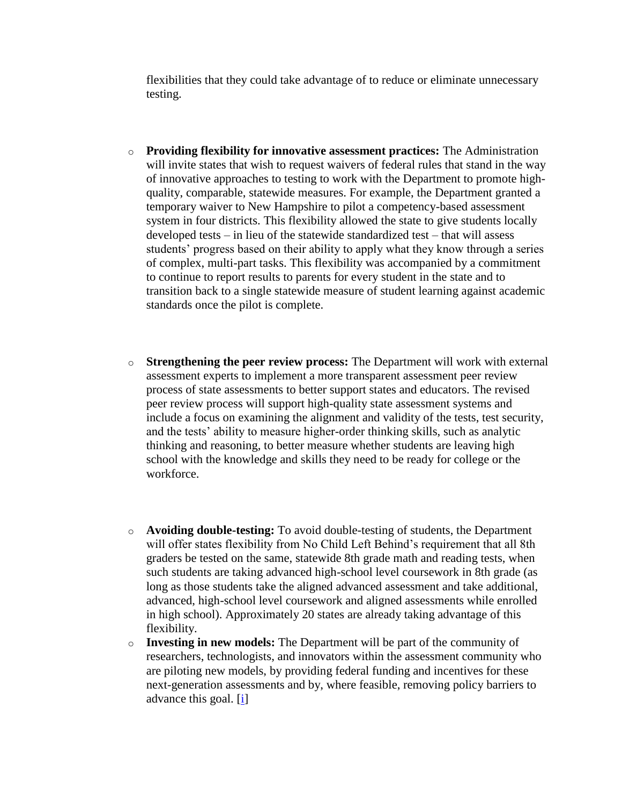flexibilities that they could take advantage of to reduce or eliminate unnecessary testing.

- o **Providing flexibility for innovative assessment practices:** The Administration will invite states that wish to request waivers of federal rules that stand in the way of innovative approaches to testing to work with the Department to promote highquality, comparable, statewide measures. For example, the Department granted a temporary waiver to New Hampshire to pilot a competency-based assessment system in four districts. This flexibility allowed the state to give students locally developed tests – in lieu of the statewide standardized test – that will assess students' progress based on their ability to apply what they know through a series of complex, multi-part tasks. This flexibility was accompanied by a commitment to continue to report results to parents for every student in the state and to transition back to a single statewide measure of student learning against academic standards once the pilot is complete.
- o **Strengthening the peer review process:** The Department will work with external assessment experts to implement a more transparent assessment peer review process of state assessments to better support states and educators. The revised peer review process will support high-quality state assessment systems and include a focus on examining the alignment and validity of the tests, test security, and the tests' ability to measure higher-order thinking skills, such as analytic thinking and reasoning, to better measure whether students are leaving high school with the knowledge and skills they need to be ready for college or the workforce.
- o **Avoiding double-testing:** To avoid double-testing of students, the Department will offer states flexibility from No Child Left Behind's requirement that all 8th graders be tested on the same, statewide 8th grade math and reading tests, when such students are taking advanced high-school level coursework in 8th grade (as long as those students take the aligned advanced assessment and take additional, advanced, high-school level coursework and aligned assessments while enrolled in high school). Approximately 20 states are already taking advantage of this flexibility.
- o **Investing in new models:** The Department will be part of the community of researchers, technologists, and innovators within the assessment community who are piloting new models, by providing federal funding and incentives for these next-generation assessments and by, where feasible, removing policy barriers to advance this goal. [\[i\]](https://www.ed.gov/news/press-releases/fact-sheet-testing-action-plan#endnote00)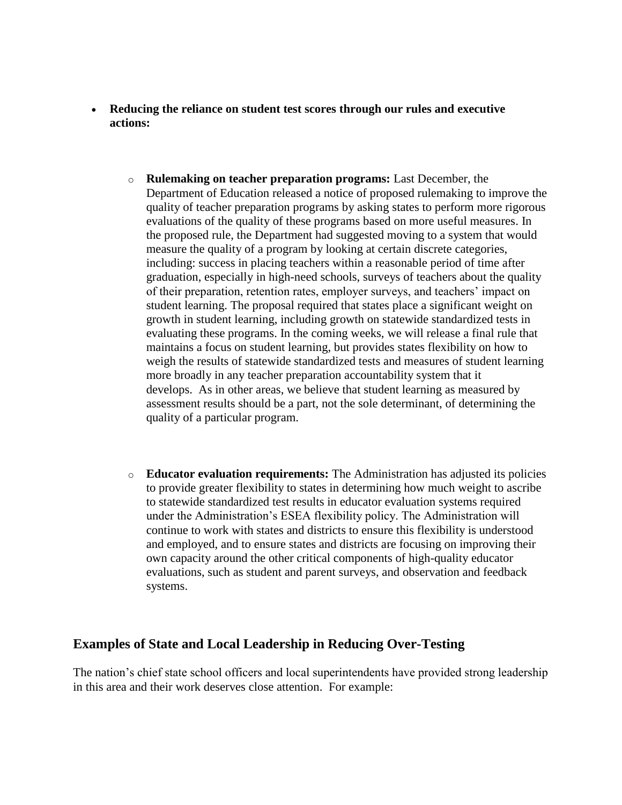- **Reducing the reliance on student test scores through our rules and executive actions:**
	- o **Rulemaking on teacher preparation programs:** Last December, the Department of Education released a notice of proposed rulemaking to improve the quality of teacher preparation programs by asking states to perform more rigorous evaluations of the quality of these programs based on more useful measures. In the proposed rule, the Department had suggested moving to a system that would measure the quality of a program by looking at certain discrete categories, including: success in placing teachers within a reasonable period of time after graduation, especially in high-need schools, surveys of teachers about the quality of their preparation, retention rates, employer surveys, and teachers' impact on student learning. The proposal required that states place a significant weight on growth in student learning, including growth on statewide standardized tests in evaluating these programs. In the coming weeks, we will release a final rule that maintains a focus on student learning, but provides states flexibility on how to weigh the results of statewide standardized tests and measures of student learning more broadly in any teacher preparation accountability system that it develops. As in other areas, we believe that student learning as measured by assessment results should be a part, not the sole determinant, of determining the quality of a particular program.
	- o **Educator evaluation requirements:** The Administration has adjusted its policies to provide greater flexibility to states in determining how much weight to ascribe to statewide standardized test results in educator evaluation systems required under the Administration's ESEA flexibility policy. The Administration will continue to work with states and districts to ensure this flexibility is understood and employed, and to ensure states and districts are focusing on improving their own capacity around the other critical components of high-quality educator evaluations, such as student and parent surveys, and observation and feedback systems.

## **Examples of State and Local Leadership in Reducing Over-Testing**

The nation's chief state school officers and local superintendents have provided strong leadership in this area and their work deserves close attention. For example: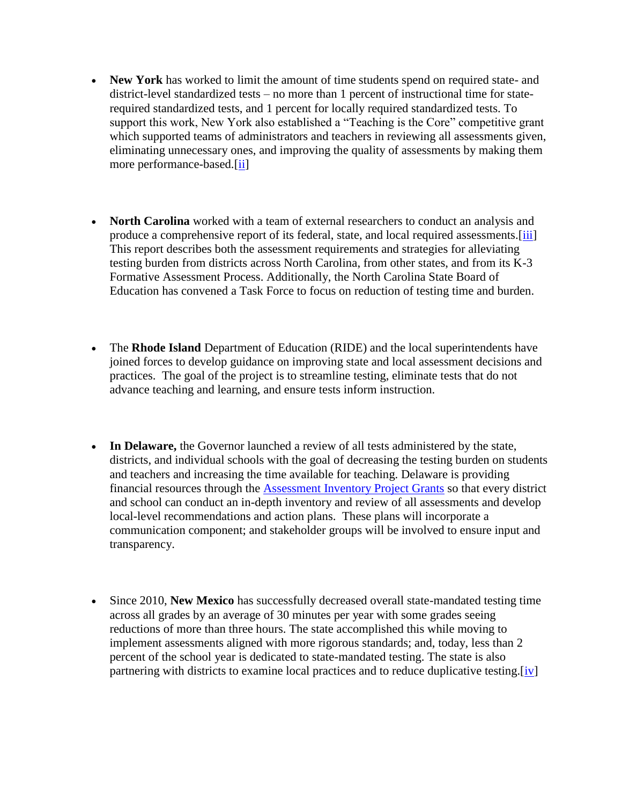- **New York** has worked to limit the amount of time students spend on required state- and district-level standardized tests – no more than 1 percent of instructional time for staterequired standardized tests, and 1 percent for locally required standardized tests. To support this work, New York also established a "Teaching is the Core" competitive grant which supported teams of administrators and teachers in reviewing all assessments given, eliminating unnecessary ones, and improving the quality of assessments by making them more performance-based.[\[ii\]](https://www.ed.gov/news/press-releases/fact-sheet-testing-action-plan#endnote01)
- North Carolina worked with a team of external researchers to conduct an analysis and produce a comprehensive report of its federal, state, and local required assessments.[\[iii\]](https://www.ed.gov/news/press-releases/fact-sheet-testing-action-plan#endnote02) This report describes both the assessment requirements and strategies for alleviating testing burden from districts across North Carolina, from other states, and from its K-3 Formative Assessment Process. Additionally, the North Carolina State Board of Education has convened a Task Force to focus on reduction of testing time and burden.
- The **Rhode Island** Department of Education (RIDE) and the local superintendents have joined forces to develop guidance on improving state and local assessment decisions and practices. The goal of the project is to streamline testing, eliminate tests that do not advance teaching and learning, and ensure tests inform instruction.
- **In Delaware,** the Governor launched a review of all tests administered by the state, districts, and individual schools with the goal of decreasing the testing burden on students and teachers and increasing the time available for teaching. Delaware is providing financial resources through the [Assessment Inventory Project Grants](http://www.doe.k12.de.us/domain/111) so that every district and school can conduct an in-depth inventory and review of all assessments and develop local-level recommendations and action plans. These plans will incorporate a communication component; and stakeholder groups will be involved to ensure input and transparency.
- Since 2010, **New Mexico** has successfully decreased overall state-mandated testing time across all grades by an average of 30 minutes per year with some grades seeing reductions of more than three hours. The state accomplished this while moving to implement assessments aligned with more rigorous standards; and, today, less than 2 percent of the school year is dedicated to state-mandated testing. The state is also partnering with districts to examine local practices and to reduce duplicative testing.[\[iv\]](https://www.ed.gov/news/press-releases/fact-sheet-testing-action-plan#endnote03)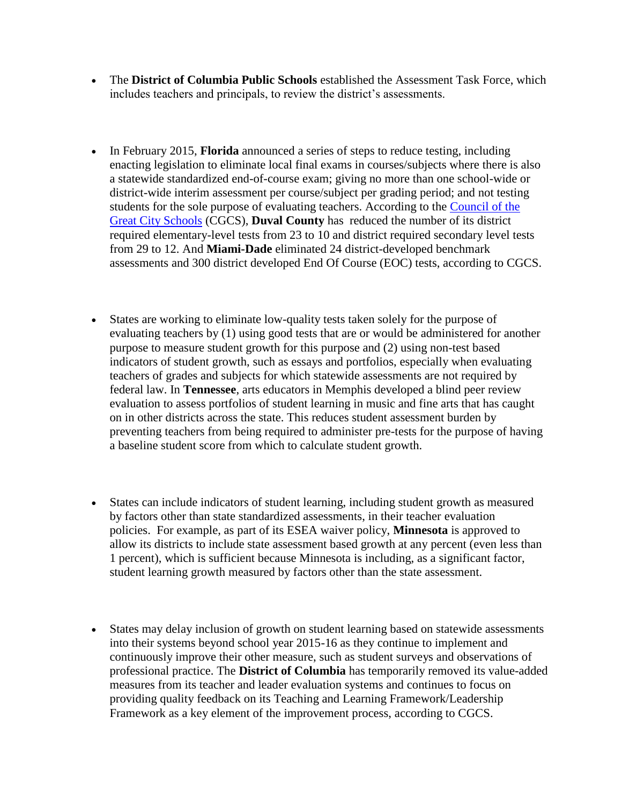- The **District of Columbia Public Schools** established the Assessment Task Force, which includes teachers and principals, to review the district's assessments.
- In February 2015, **Florida** announced a series of steps to reduce testing, including enacting legislation to eliminate local final exams in courses/subjects where there is also a statewide standardized end-of-course exam; giving no more than one school-wide or district-wide interim assessment per course/subject per grading period; and not testing students for the sole purpose of evaluating teachers. According to the [Council of the](http://www.cgcs.org/)  [Great City Schools](http://www.cgcs.org/) (CGCS), **Duval County** has reduced the number of its district required elementary-level tests from 23 to 10 and district required secondary level tests from 29 to 12. And **Miami-Dade** eliminated 24 district-developed benchmark assessments and 300 district developed End Of Course (EOC) tests, according to CGCS.
- States are working to eliminate low-quality tests taken solely for the purpose of evaluating teachers by (1) using good tests that are or would be administered for another purpose to measure student growth for this purpose and (2) using non-test based indicators of student growth, such as essays and portfolios, especially when evaluating teachers of grades and subjects for which statewide assessments are not required by federal law. In **Tennessee**, arts educators in Memphis developed a blind peer review evaluation to assess portfolios of student learning in music and fine arts that has caught on in other districts across the state. This reduces student assessment burden by preventing teachers from being required to administer pre-tests for the purpose of having a baseline student score from which to calculate student growth.
- States can include indicators of student learning, including student growth as measured by factors other than state standardized assessments, in their teacher evaluation policies. For example, as part of its ESEA waiver policy, **Minnesota** is approved to allow its districts to include state assessment based growth at any percent (even less than 1 percent), which is sufficient because Minnesota is including, as a significant factor, student learning growth measured by factors other than the state assessment.
- States may delay inclusion of growth on student learning based on statewide assessments into their systems beyond school year 2015-16 as they continue to implement and continuously improve their other measure, such as student surveys and observations of professional practice. The **District of Columbia** has temporarily removed its value-added measures from its teacher and leader evaluation systems and continues to focus on providing quality feedback on its Teaching and Learning Framework/Leadership Framework as a key element of the improvement process, according to CGCS.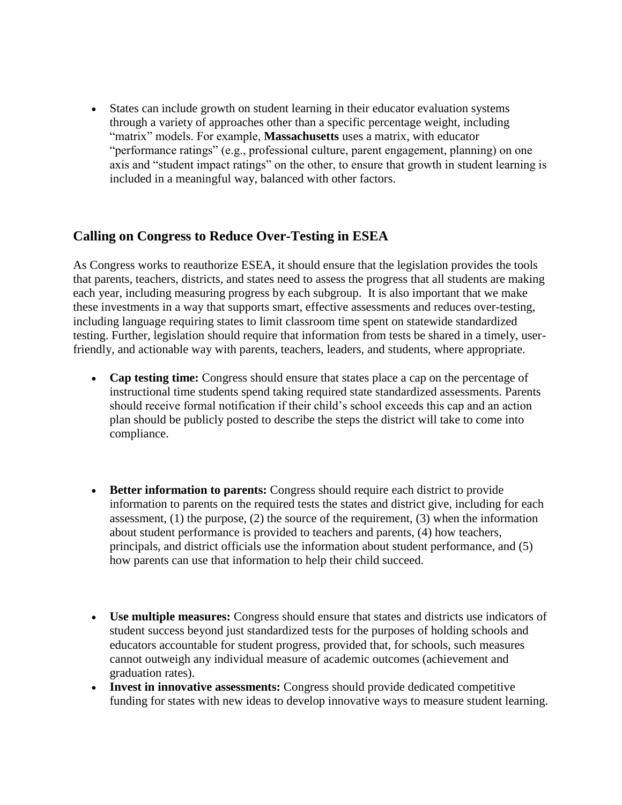States can include growth on student learning in their educator evaluation systems through a variety of approaches other than a specific percentage weight, including "matrix" models. For example, **Massachusetts** uses a matrix, with educator "performance ratings" (e.g., professional culture, parent engagement, planning) on one axis and "student impact ratings" on the other, to ensure that growth in student learning is included in a meaningful way, balanced with other factors.

# **Calling on Congress to Reduce Over-Testing in ESEA**

As Congress works to reauthorize ESEA, it should ensure that the legislation provides the tools that parents, teachers, districts, and states need to assess the progress that all students are making each year, including measuring progress by each subgroup. It is also important that we make these investments in a way that supports smart, effective assessments and reduces over-testing, including language requiring states to limit classroom time spent on statewide standardized testing. Further, legislation should require that information from tests be shared in a timely, userfriendly, and actionable way with parents, teachers, leaders, and students, where appropriate.

- **Cap testing time:** Congress should ensure that states place a cap on the percentage of instructional time students spend taking required state standardized assessments. Parents should receive formal notification if their child's school exceeds this cap and an action plan should be publicly posted to describe the steps the district will take to come into compliance.
- **Better information to parents:** Congress should require each district to provide information to parents on the required tests the states and district give, including for each assessment,  $(1)$  the purpose,  $(2)$  the source of the requirement,  $(3)$  when the information about student performance is provided to teachers and parents, (4) how teachers, principals, and district officials use the information about student performance, and (5) how parents can use that information to help their child succeed.
- **Use multiple measures:** Congress should ensure that states and districts use indicators of student success beyond just standardized tests for the purposes of holding schools and educators accountable for student progress, provided that, for schools, such measures cannot outweigh any individual measure of academic outcomes (achievement and graduation rates).
- **Invest in innovative assessments:** Congress should provide dedicated competitive funding for states with new ideas to develop innovative ways to measure student learning.